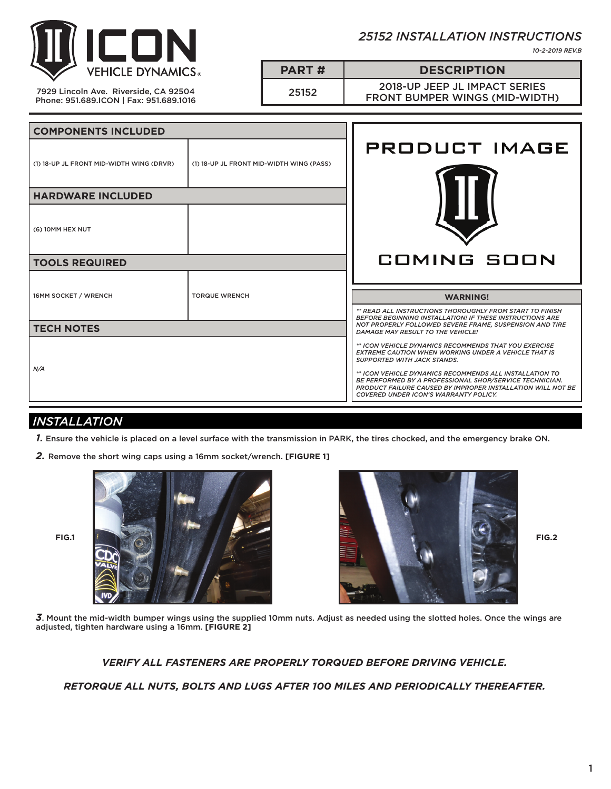

*25152 INSTALLATION INSTRUCTIONS*

*10-2-2019 REV.B*

7929 Lincoln Ave. Riverside, CA 92504 Phone: 951.689.ICON | Fax: 951.689.1016 **PART # DESCRIPTION**

25152 2018-UP JEEP JL IMPACT SERIES FRONT BUMPER WINGS (MID-WIDTH)

| <b>COMPONENTS INCLUDED</b>               |                                          |                                                                                                                                                                                                                                   |
|------------------------------------------|------------------------------------------|-----------------------------------------------------------------------------------------------------------------------------------------------------------------------------------------------------------------------------------|
| (1) 18-UP JL FRONT MID-WIDTH WING (DRVR) | (1) 18-UP JL FRONT MID-WIDTH WING (PASS) | <b>PRODUCT IMAGE</b>                                                                                                                                                                                                              |
| <b>HARDWARE INCLUDED</b>                 |                                          |                                                                                                                                                                                                                                   |
| (6) 10MM HEX NUT                         |                                          |                                                                                                                                                                                                                                   |
| <b>TOOLS REQUIRED</b>                    |                                          | <b>COMING SOON</b>                                                                                                                                                                                                                |
| 16MM SOCKET / WRENCH                     | <b>TORQUE WRENCH</b>                     | <b>WARNING!</b>                                                                                                                                                                                                                   |
| <b>TECH NOTES</b>                        |                                          | ** READ ALL INSTRUCTIONS THOROUGHLY FROM START TO FINISH<br><b>BEFORE BEGINNING INSTALLATION! IF THESE INSTRUCTIONS ARE</b><br>NOT PROPERLY FOLLOWED SEVERE FRAME, SUSPENSION AND TIRE<br>DAMAGE MAY RESULT TO THE VEHICLE!       |
| N/A                                      |                                          | ** ICON VEHICLE DYNAMICS RECOMMENDS THAT YOU EXERCISE<br><b>EXTREME CAUTION WHEN WORKING UNDER A VEHICLE THAT IS</b><br><b>SUPPORTED WITH JACK STANDS.</b>                                                                        |
|                                          |                                          | ** ICON VEHICLE DYNAMICS RECOMMENDS ALL INSTALLATION TO<br>BE PERFORMED BY A PROFESSIONAL SHOP/SERVICE TECHNICIAN.<br>PRODUCT FAILURE CAUSED BY IMPROPER INSTALLATION WILL NOT BE<br><b>COVERED UNDER ICON'S WARRANTY POLICY.</b> |

## *INSTALLATION*

*1.* Ensure the vehicle is placed on a level surface with the transmission in PARK, the tires chocked, and the emergency brake ON.

*2.* Remove the short wing caps using a 16mm socket/wrench. **[FIGURE 1]**





*3*. Mount the mid-width bumper wings using the supplied 10mm nuts. Adjust as needed using the slotted holes. Once the wings are adjusted, tighten hardware using a 16mm. **[FIGURE 2]**

## *VERIFY ALL FASTENERS ARE PROPERLY TORQUED BEFORE DRIVING VEHICLE.*

*RETORQUE ALL NUTS, BOLTS AND LUGS AFTER 100 MILES AND PERIODICALLY THEREAFTER.*